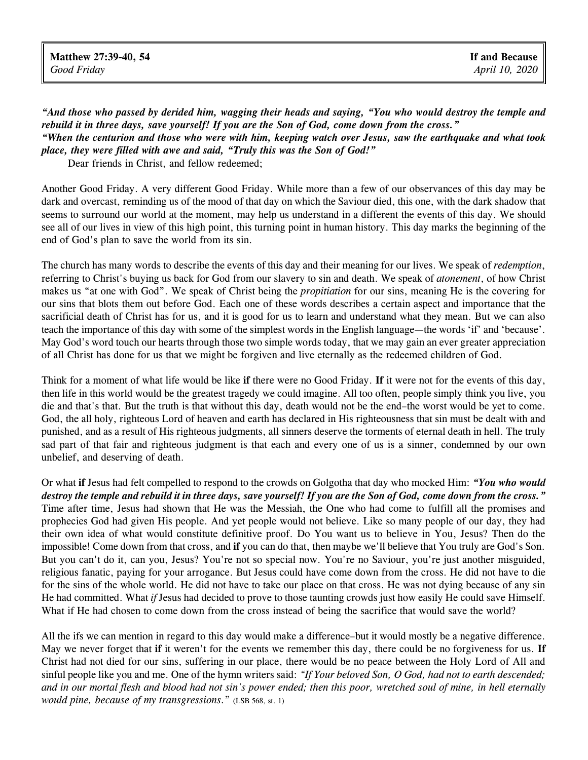"And those who passed by derided him, wagging their heads and saying, "You who would destroy the temple and *rebuild it in three days, save yourself! If you are the Son of God, come down from the cross." "When the centurion and those who were with him, keeping watch over Jesus, saw the earthquake and what took place, they were filled with awe and said, "Truly this was the Son of God!"*

Dear friends in Christ, and fellow redeemed;

Another Good Friday. A very different Good Friday. While more than a few of our observances of this day may be dark and overcast, reminding us of the mood of that day on which the Saviour died, this one, with the dark shadow that seems to surround our world at the moment, may help us understand in a different the events of this day. We should see all of our lives in view of this high point, this turning point in human history. This day marks the beginning of the end of God's plan to save the world from its sin.

The church has many words to describe the events of this day and their meaning for our lives. We speak of *redemption*, referring to Christ's buying us back for God from our slavery to sin and death. We speak of *atonement*, of how Christ makes us "at one with God". We speak of Christ being the *propitiation* for our sins, meaning He is the covering for our sins that blots them out before God. Each one of these words describes a certain aspect and importance that the sacrificial death of Christ has for us, and it is good for us to learn and understand what they mean. But we can also teach the importance of this day with some of the simplest words in the English language—the words 'if' and 'because'. May God's word touch our hearts through those two simple words today, that we may gain an ever greater appreciation of all Christ has done for us that we might be forgiven and live eternally as the redeemed children of God.

Think for a moment of what life would be like **if** there were no Good Friday. **If** it were not for the events of this day, then life in this world would be the greatest tragedy we could imagine. All too often, people simply think you live, you die and that's that. But the truth is that without this day, death would not be the end–the worst would be yet to come. God, the all holy, righteous Lord of heaven and earth has declared in His righteousness that sin must be dealt with and punished, and as a result of His righteous judgments, all sinners deserve the torments of eternal death in hell. The truly sad part of that fair and righteous judgment is that each and every one of us is a sinner, condemned by our own unbelief, and deserving of death.

Or what **if** Jesus had felt compelled to respond to the crowds on Golgotha that day who mocked Him: *"You who would* destroy the temple and rebuild it in three days, save yourself! If you are the Son of God, come down from the cross." Time after time, Jesus had shown that He was the Messiah, the One who had come to fulfill all the promises and prophecies God had given His people. And yet people would not believe. Like so many people of our day, they had their own idea of what would constitute definitive proof. Do You want us to believe in You, Jesus? Then do the impossible! Come down from that cross, and **if** you can do that, then maybe we'll believe that You truly are God's Son. But you can't do it, can you, Jesus? You're not so special now. You're no Saviour, you're just another misguided, religious fanatic, paying for your arrogance. But Jesus could have come down from the cross. He did not have to die for the sins of the whole world. He did not have to take our place on that cross. He was not dying because of any sin He had committed. What *if* Jesus had decided to prove to those taunting crowds just how easily He could save Himself. What if He had chosen to come down from the cross instead of being the sacrifice that would save the world?

All the ifs we can mention in regard to this day would make a difference–but it would mostly be a negative difference. May we never forget that **if** it weren't for the events we remember this day, there could be no forgiveness for us. **If** Christ had not died for our sins, suffering in our place, there would be no peace between the Holy Lord of All and sinful people like you and me. One of the hymn writers said: *"If Your beloved Son, O God, had not to earth descended; and in our mortal flesh and blood had not sin's power ended; then this poor, wretched soul of mine, in hell eternally would pine, because of my transgressions.*" (LSB 568, st. 1)